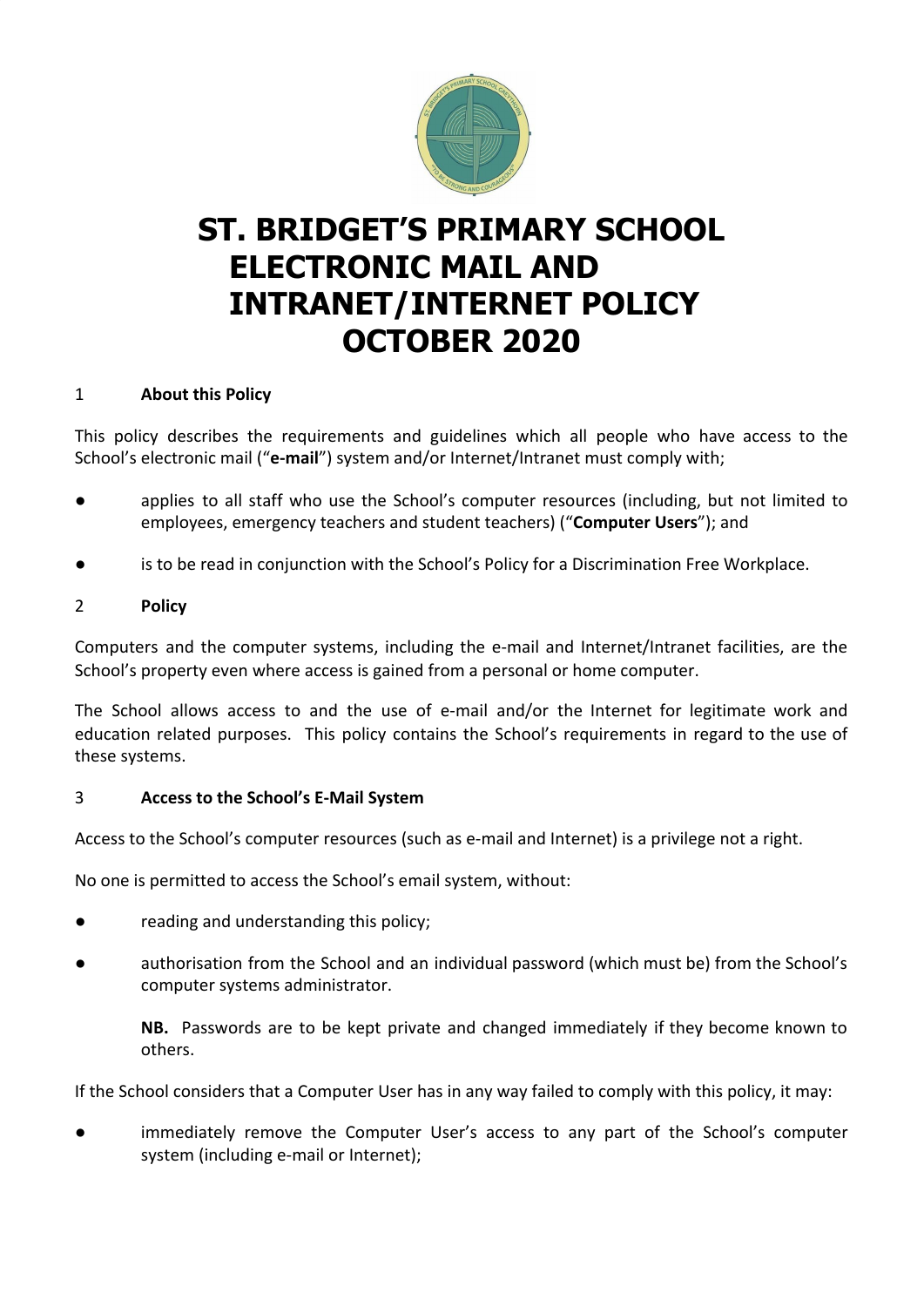

# **ST. BRIDGET'S PRIMARY SCHOOL ELECTRONIC MAIL AND INTRANET/INTERNET POLICY OCTOBER 2020**

#### 1 **About this Policy**

This policy describes the requirements and guidelines which all people who have access to the School's electronic mail ("**e-mail**") system and/or Internet/Intranet must comply with;

- applies to all staff who use the School's computer resources (including, but not limited to employees, emergency teachers and student teachers) ("**Computer Users**"); and
- is to be read in conjunction with the School's Policy for a Discrimination Free Workplace.

## 2 **Policy**

Computers and the computer systems, including the e-mail and Internet/Intranet facilities, are the School's property even where access is gained from a personal or home computer.

The School allows access to and the use of e-mail and/or the Internet for legitimate work and education related purposes. This policy contains the School's requirements in regard to the use of these systems.

## 3 **Access to the School's E-Mail System**

Access to the School's computer resources (such as e-mail and Internet) is a privilege not a right.

No one is permitted to access the School's email system, without:

- reading and understanding this policy;
- authorisation from the School and an individual password (which must be) from the School's computer systems administrator.

**NB.** Passwords are to be kept private and changed immediately if they become known to others.

If the School considers that a Computer User has in any way failed to comply with this policy, it may:

● immediately remove the Computer User's access to any part of the School's computer system (including e-mail or Internet);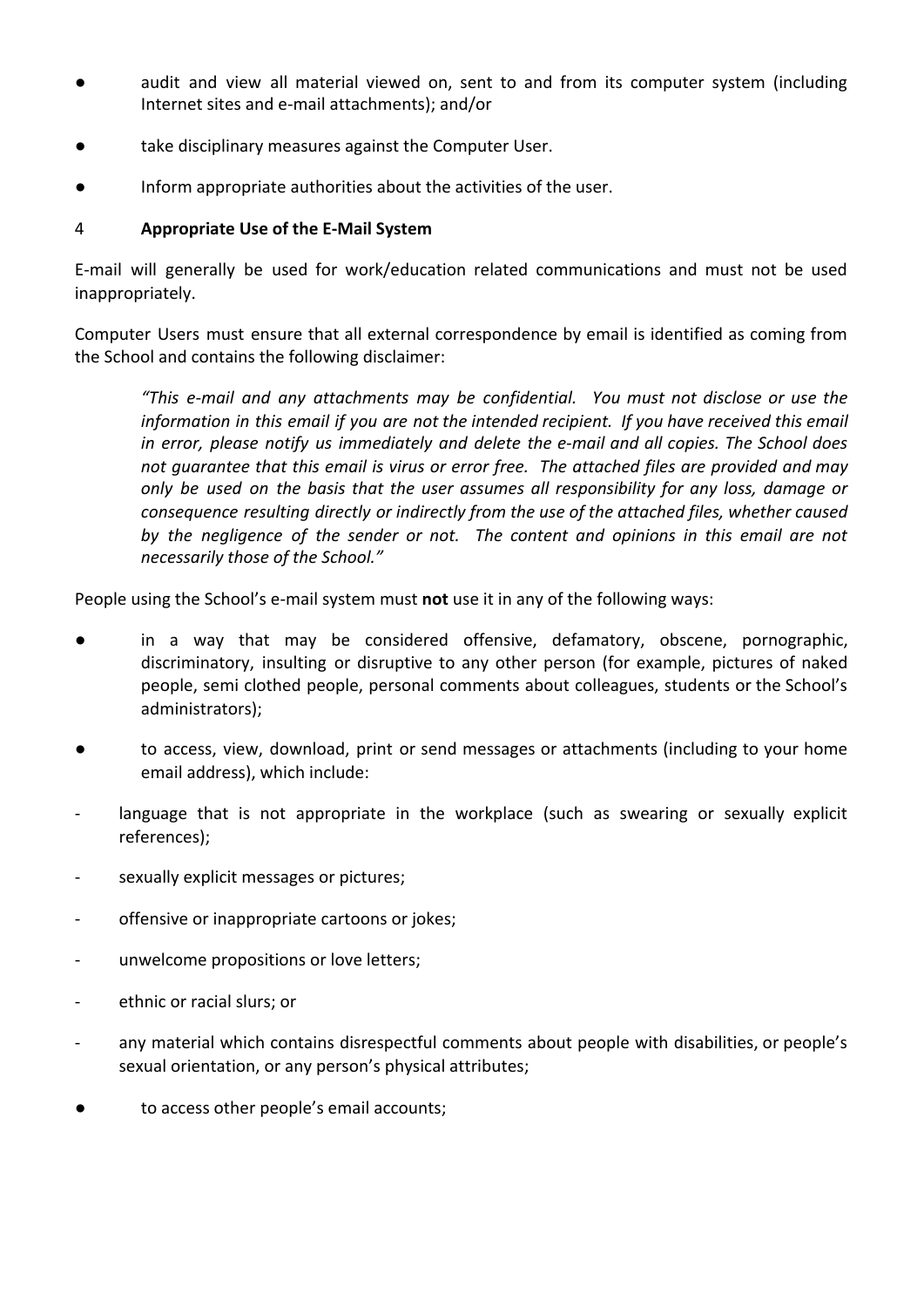- audit and view all material viewed on, sent to and from its computer system (including Internet sites and e-mail attachments); and/or
- take disciplinary measures against the Computer User.
- Inform appropriate authorities about the activities of the user.

#### 4 **Appropriate Use of the E-Mail System**

E-mail will generally be used for work/education related communications and must not be used inappropriately.

Computer Users must ensure that all external correspondence by email is identified as coming from the School and contains the following disclaimer:

*"This e-mail and any attachments may be confidential. You must not disclose or use the information in this email if you are not the intended recipient. If you have received this email in error, please notify us immediately and delete the e-mail and all copies. The School does not guarantee that this email is virus or error free. The attached files are provided and may only be used on the basis that the user assumes all responsibility for any loss, damage or consequence resulting directly or indirectly from the use of the attached files, whether caused by the negligence of the sender or not. The content and opinions in this email are not necessarily those of the School."*

People using the School's e-mail system must **not** use it in any of the following ways:

- in a way that may be considered offensive, defamatory, obscene, pornographic, discriminatory, insulting or disruptive to any other person (for example, pictures of naked people, semi clothed people, personal comments about colleagues, students or the School's administrators);
- to access, view, download, print or send messages or attachments (including to your home email address), which include:
- language that is not appropriate in the workplace (such as swearing or sexually explicit references);
- sexually explicit messages or pictures;
- offensive or inappropriate cartoons or jokes;
- unwelcome propositions or love letters;
- ethnic or racial slurs; or
- any material which contains disrespectful comments about people with disabilities, or people's sexual orientation, or any person's physical attributes;
- to access other people's email accounts;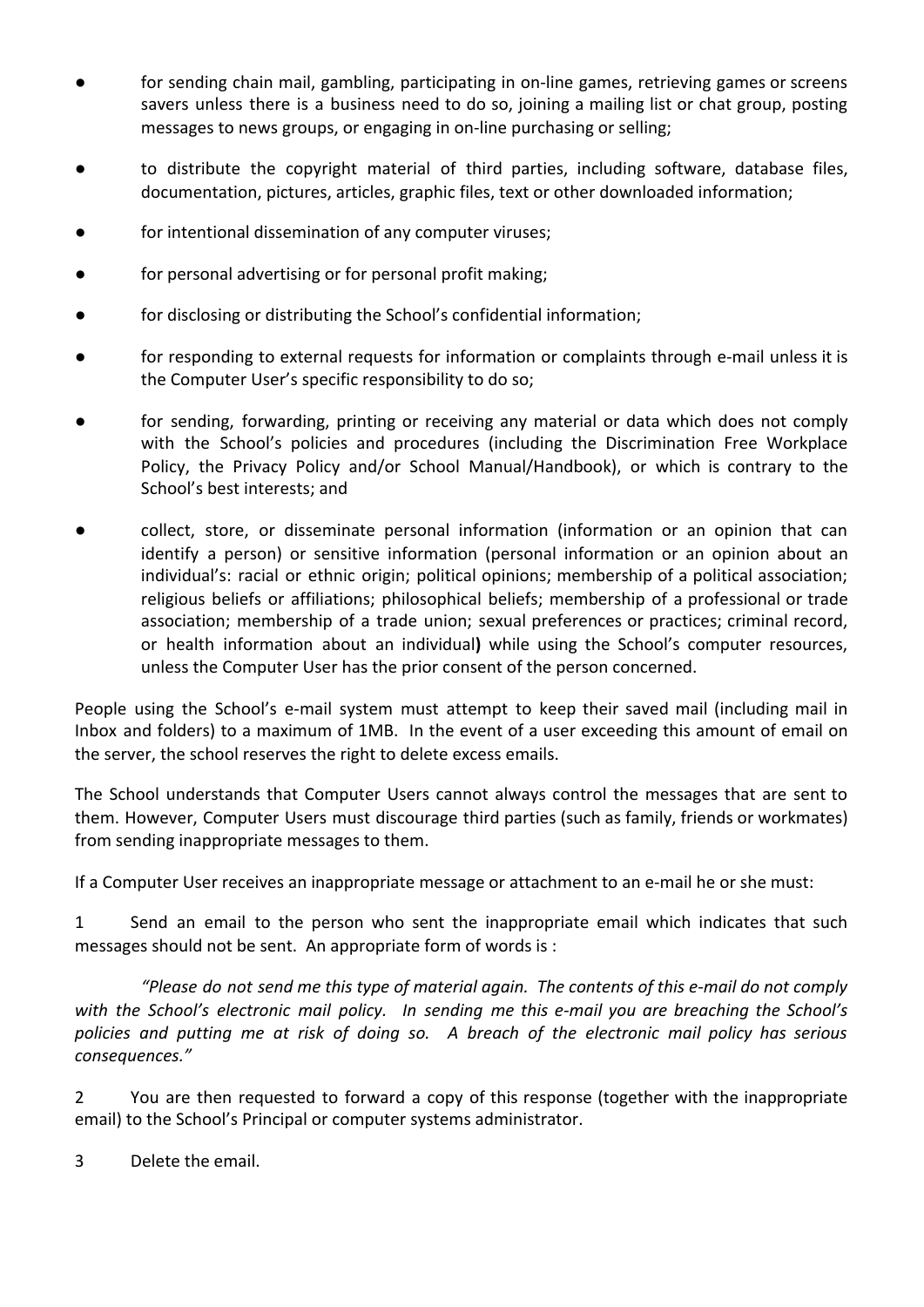- for sending chain mail, gambling, participating in on-line games, retrieving games or screens savers unless there is a business need to do so, joining a mailing list or chat group, posting messages to news groups, or engaging in on-line purchasing or selling;
- to distribute the copyright material of third parties, including software, database files, documentation, pictures, articles, graphic files, text or other downloaded information;
- for intentional dissemination of any computer viruses;
- for personal advertising or for personal profit making;
- for disclosing or distributing the School's confidential information;
- for responding to external requests for information or complaints through e-mail unless it is the Computer User's specific responsibility to do so;
- for sending, forwarding, printing or receiving any material or data which does not comply with the School's policies and procedures (including the Discrimination Free Workplace Policy, the Privacy Policy and/or School Manual/Handbook), or which is contrary to the School's best interests; and
- collect, store, or disseminate personal information (information or an opinion that can identify a person) or sensitive information (personal information or an opinion about an individual's: racial or ethnic origin; political opinions; membership of a political association; religious beliefs or affiliations; philosophical beliefs; membership of a professional or trade association; membership of a trade union; sexual preferences or practices; criminal record, or health information about an individual**)** while using the School's computer resources, unless the Computer User has the prior consent of the person concerned.

People using the School's e-mail system must attempt to keep their saved mail (including mail in Inbox and folders) to a maximum of 1MB. In the event of a user exceeding this amount of email on the server, the school reserves the right to delete excess emails.

The School understands that Computer Users cannot always control the messages that are sent to them. However, Computer Users must discourage third parties (such as family, friends or workmates) from sending inappropriate messages to them.

If a Computer User receives an inappropriate message or attachment to an e-mail he or she must:

1 Send an email to the person who sent the inappropriate email which indicates that such messages should not be sent. An appropriate form of words is :

*"Please do not send me this type of material again. The contents of this e-mail do not comply with the School's electronic mail policy. In sending me this e-mail you are breaching the School's policies and putting me at risk of doing so. A breach of the electronic mail policy has serious consequences."*

2 You are then requested to forward a copy of this response (together with the inappropriate email) to the School's Principal or computer systems administrator.

3 Delete the email.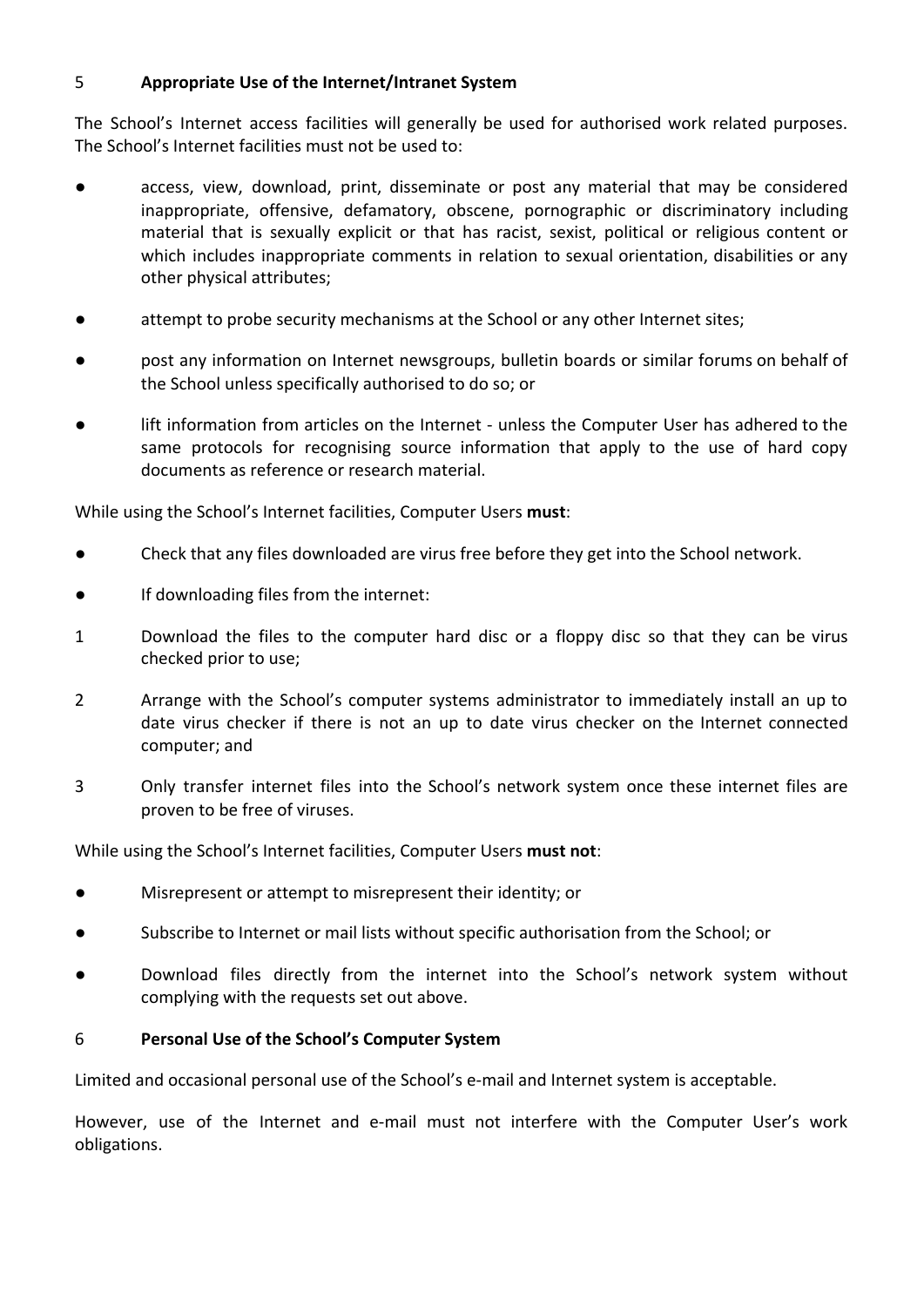#### 5 **Appropriate Use of the Internet/Intranet System**

The School's Internet access facilities will generally be used for authorised work related purposes. The School's Internet facilities must not be used to:

- access, view, download, print, disseminate or post any material that may be considered inappropriate, offensive, defamatory, obscene, pornographic or discriminatory including material that is sexually explicit or that has racist, sexist, political or religious content or which includes inappropriate comments in relation to sexual orientation, disabilities or any other physical attributes;
- attempt to probe security mechanisms at the School or any other Internet sites;
- post any information on Internet newsgroups, bulletin boards or similar forums on behalf of the School unless specifically authorised to do so; or
- lift information from articles on the Internet unless the Computer User has adhered to the same protocols for recognising source information that apply to the use of hard copy documents as reference or research material.

While using the School's Internet facilities, Computer Users **must**:

- Check that any files downloaded are virus free before they get into the School network.
- If downloading files from the internet:
- 1 Download the files to the computer hard disc or a floppy disc so that they can be virus checked prior to use;
- 2 Arrange with the School's computer systems administrator to immediately install an up to date virus checker if there is not an up to date virus checker on the Internet connected computer; and
- 3 Only transfer internet files into the School's network system once these internet files are proven to be free of viruses.

While using the School's Internet facilities, Computer Users **must not**:

- Misrepresent or attempt to misrepresent their identity; or
- Subscribe to Internet or mail lists without specific authorisation from the School; or
- Download files directly from the internet into the School's network system without complying with the requests set out above.

#### 6 **Personal Use of the School's Computer System**

Limited and occasional personal use of the School's e-mail and Internet system is acceptable.

However, use of the Internet and e-mail must not interfere with the Computer User's work obligations.